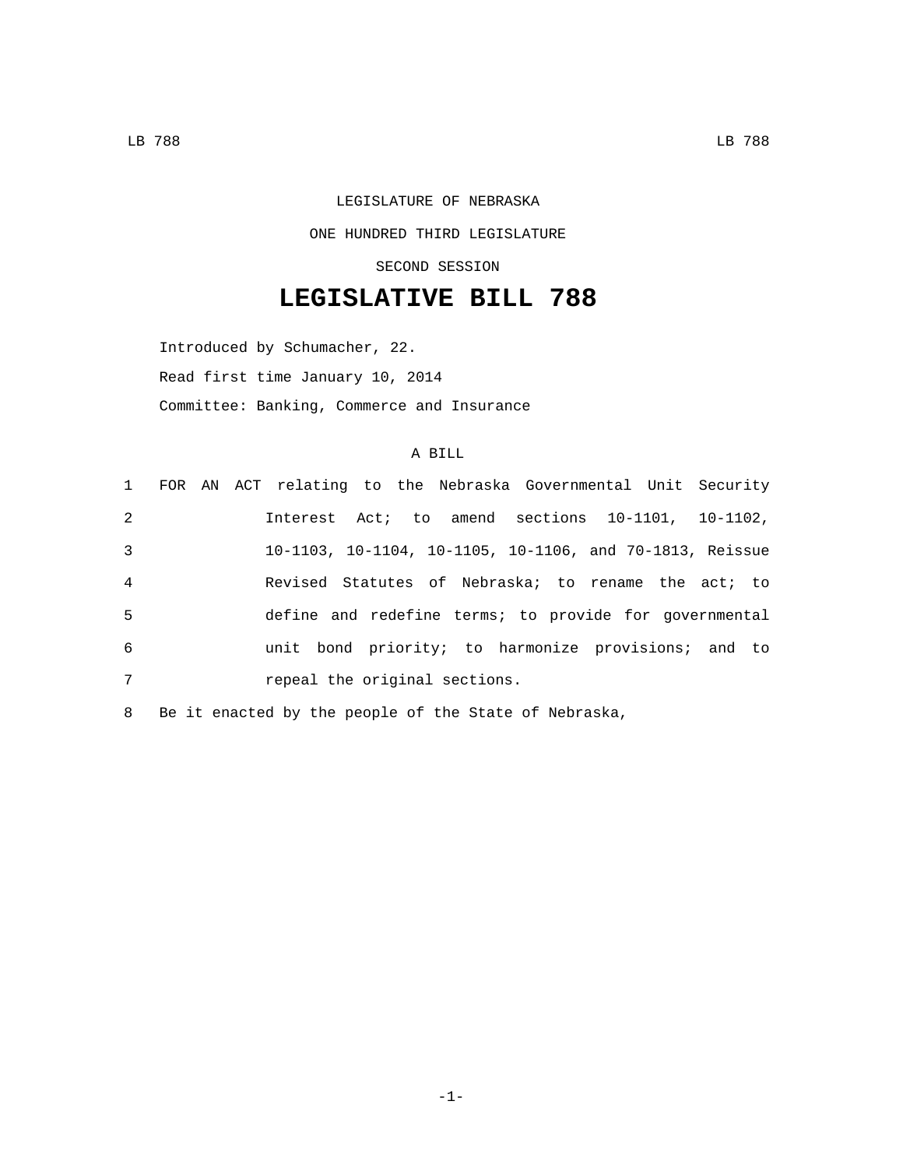## LEGISLATURE OF NEBRASKA ONE HUNDRED THIRD LEGISLATURE SECOND SESSION

## **LEGISLATIVE BILL 788**

Introduced by Schumacher, 22. Read first time January 10, 2014 Committee: Banking, Commerce and Insurance

## A BILL

|  |  |  |  | repeal the original sections. |  | 1 FOR AN ACT relating to the Nebraska Governmental Unit Security<br>Interest Act; to amend sections 10-1101, 10-1102,<br>10-1103, 10-1104, 10-1105, 10-1106, and 70-1813, Reissue<br>Revised Statutes of Nebraska; to rename the act; to<br>define and redefine terms; to provide for governmental<br>unit bond priority; to harmonize provisions; and to |
|--|--|--|--|-------------------------------|--|-----------------------------------------------------------------------------------------------------------------------------------------------------------------------------------------------------------------------------------------------------------------------------------------------------------------------------------------------------------|

8 Be it enacted by the people of the State of Nebraska,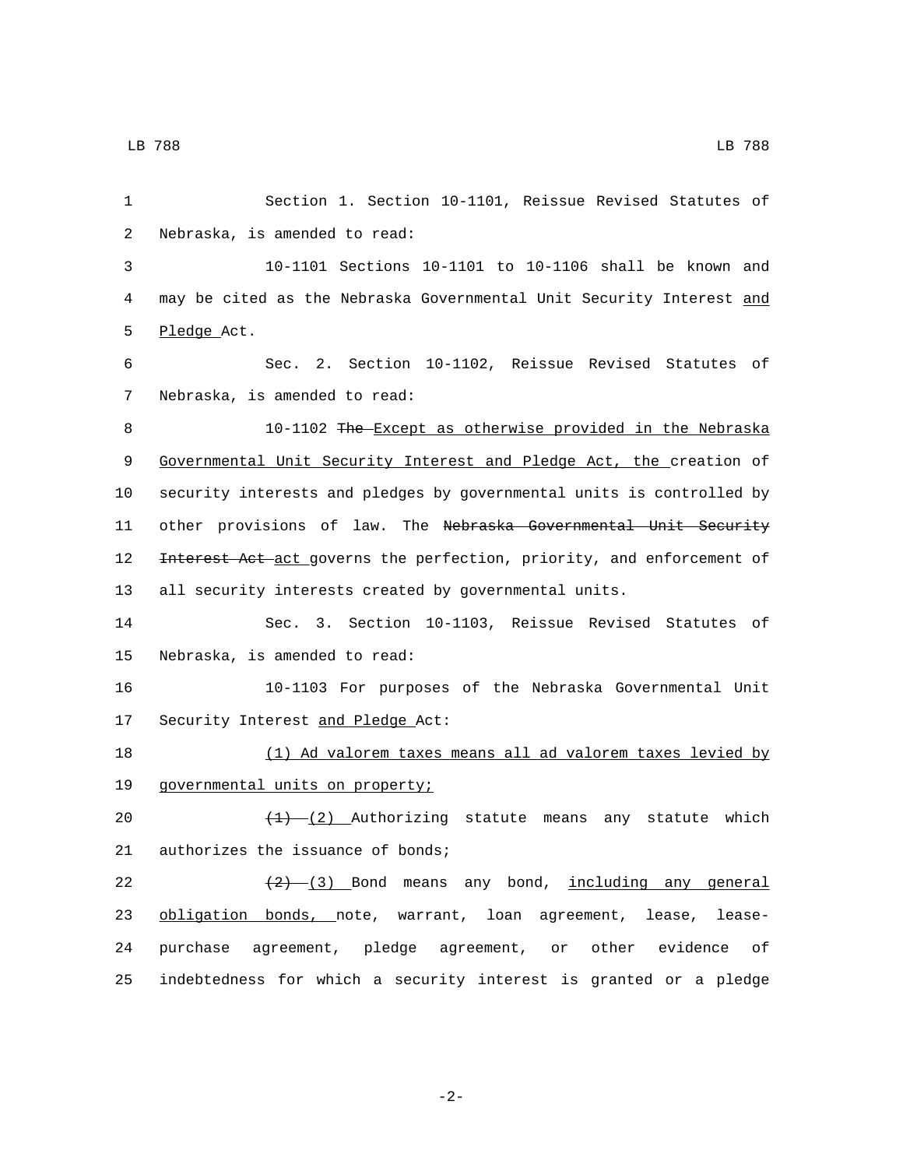1 Section 1. Section 10-1101, Reissue Revised Statutes of 2 Nebraska, is amended to read: 3 10-1101 Sections 10-1101 to 10-1106 shall be known and 4 may be cited as the Nebraska Governmental Unit Security Interest and 5 Pledge Act. 6 Sec. 2. Section 10-1102, Reissue Revised Statutes of 7 Nebraska, is amended to read: 8 10-1102 The Except as otherwise provided in the Nebraska 9 Governmental Unit Security Interest and Pledge Act, the creation of 10 security interests and pledges by governmental units is controlled by 11 other provisions of law. The Nebraska Governmental Unit Security 12 <del>Interest Act act g</del>overns the perfection, priority, and enforcement of 13 all security interests created by governmental units. 14 Sec. 3. Section 10-1103, Reissue Revised Statutes of 15 Nebraska, is amended to read: 16 10-1103 For purposes of the Nebraska Governmental Unit 17 Security Interest and Pledge Act: 18 (1) Ad valorem taxes means all ad valorem taxes levied by 19 governmental units on property; 20  $\left(4\right)$   $\left(2\right)$  Authorizing statute means any statute which 21 authorizes the issuance of bonds; 22  $(2)$   $(3)$  Bond means any bond, including any general 23 obligation bonds, note, warrant, loan agreement, lease, lease-24 purchase agreement, pledge agreement, or other evidence of 25 indebtedness for which a security interest is granted or a pledge

-2-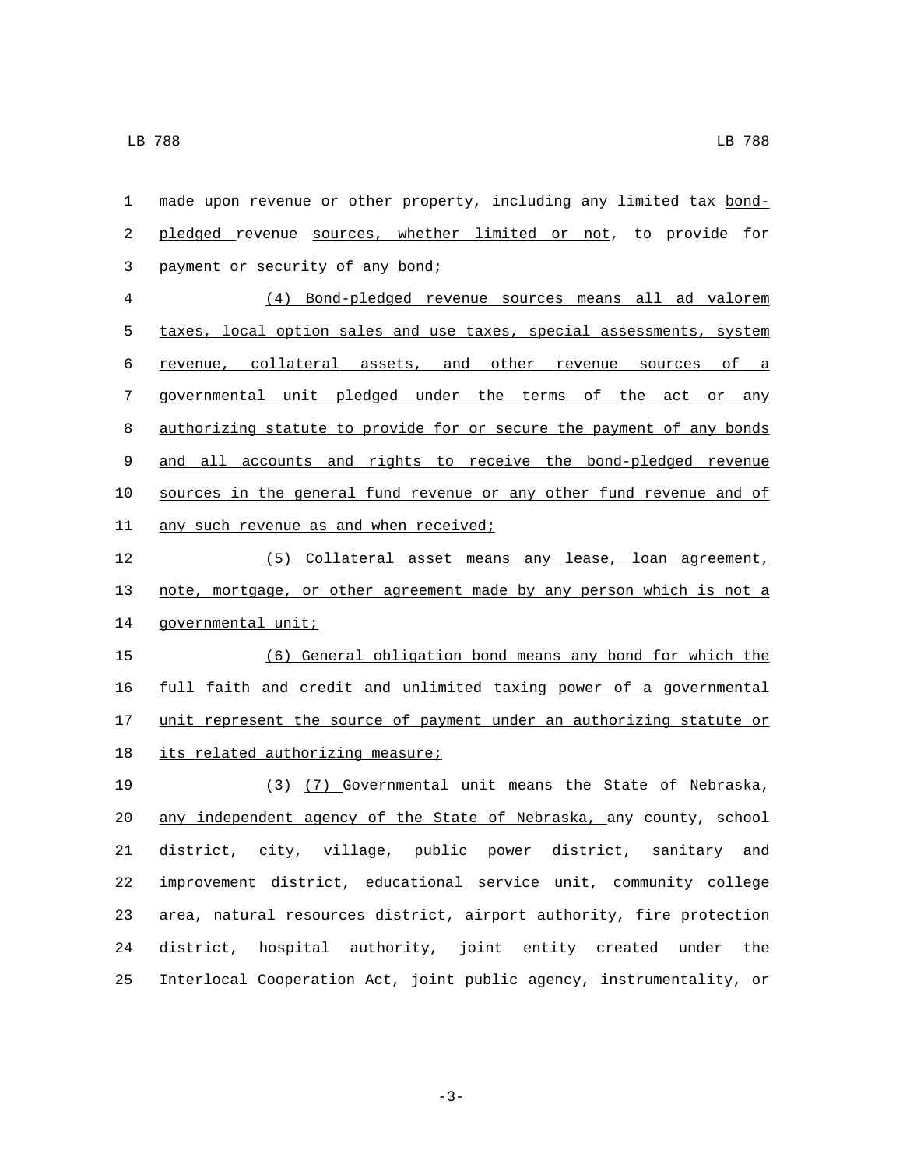1 made upon revenue or other property, including any <del>limited tax</del> bond- pledged revenue sources, whether limited or not, to provide for 3 payment or security of any bond; (4) Bond-pledged revenue sources means all ad valorem taxes, local option sales and use taxes, special assessments, system revenue, collateral assets, and other revenue sources of a governmental unit pledged under the terms of the act or any authorizing statute to provide for or secure the payment of any bonds and all accounts and rights to receive the bond-pledged revenue sources in the general fund revenue or any other fund revenue and of 11 any such revenue as and when received; (5) Collateral asset means any lease, loan agreement, note, mortgage, or other agreement made by any person which is not a 14 governmental unit; (6) General obligation bond means any bond for which the full faith and credit and unlimited taxing power of a governmental 17 unit represent the source of payment under an authorizing statute or 18 its related authorizing measure;  $(3)-(7)$  Governmental unit means the State of Nebraska, 20 any independent agency of the State of Nebraska, any county, school district, city, village, public power district, sanitary and improvement district, educational service unit, community college area, natural resources district, airport authority, fire protection district, hospital authority, joint entity created under the Interlocal Cooperation Act, joint public agency, instrumentality, or

-3-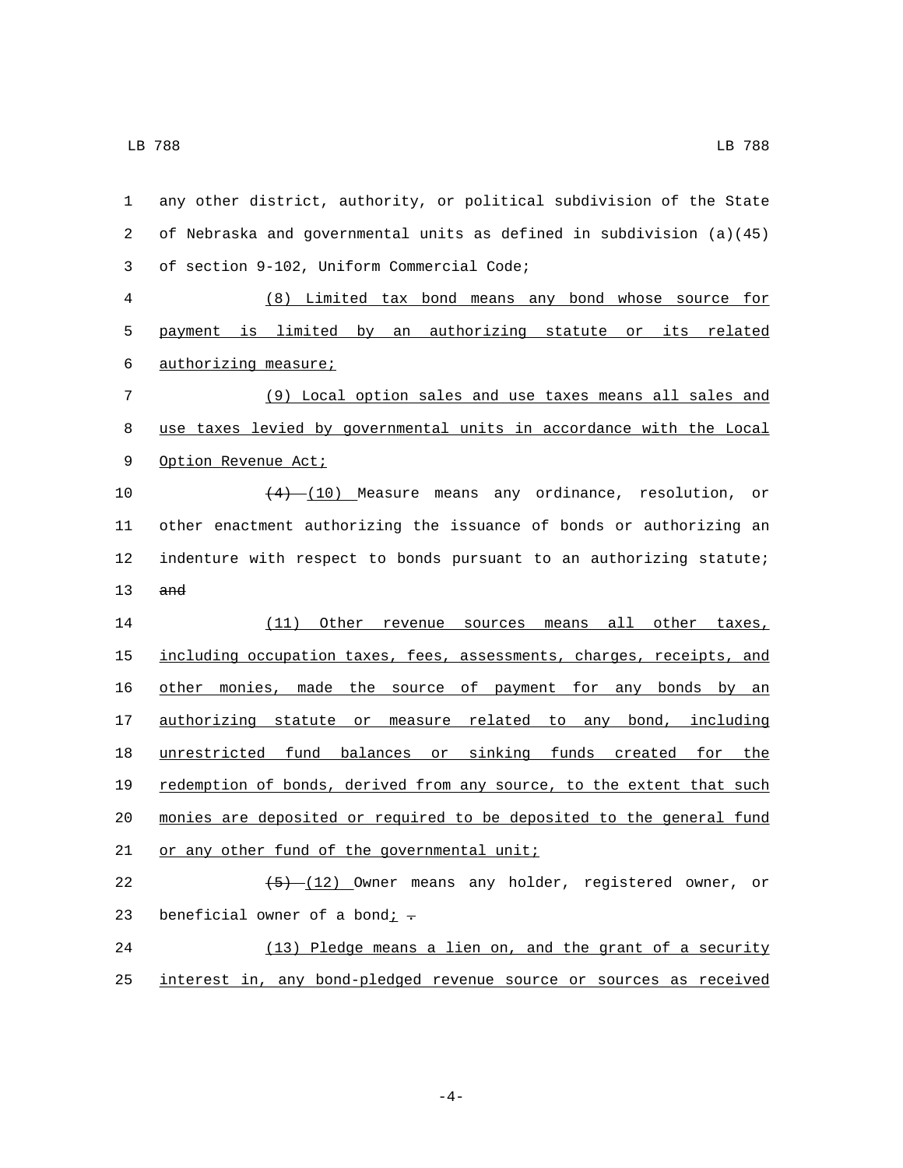any other district, authority, or political subdivision of the State of Nebraska and governmental units as defined in subdivision (a)(45) of section 9-102, Uniform Commercial Code;3 (8) Limited tax bond means any bond whose source for payment is limited by an authorizing statute or its related 6 authorizing measure; (9) Local option sales and use taxes means all sales and use taxes levied by governmental units in accordance with the Local 9 Option Revenue Act;  $(4)$   $(10)$  Measure means any ordinance, resolution, or other enactment authorizing the issuance of bonds or authorizing an indenture with respect to bonds pursuant to an authorizing statute; and (11) Other revenue sources means all other taxes, 15 including occupation taxes, fees, assessments, charges, receipts, and other monies, made the source of payment for any bonds by an authorizing statute or measure related to any bond, including unrestricted fund balances or sinking funds created for the redemption of bonds, derived from any source, to the extent that such monies are deposited or required to be deposited to the general fund 21 or any other fund of the governmental unit;  $\sqrt{(5)-(12)}$  Owner means any holder, registered owner, or 23 beneficial owner of a bond $\frac{i}{r}$ . (13) Pledge means a lien on, and the grant of a security

interest in, any bond-pledged revenue source or sources as received

-4-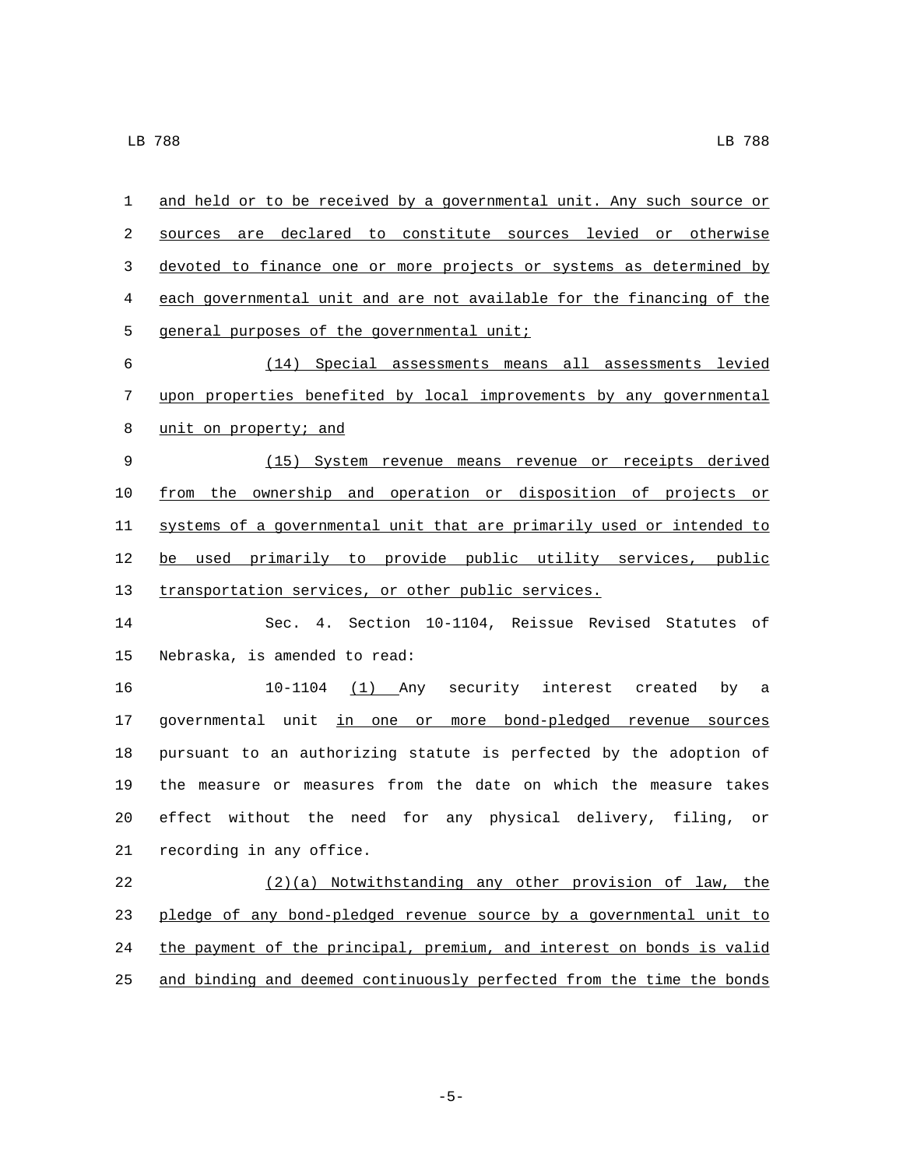| 1  | and held or to be received by a governmental unit. Any such source or |
|----|-----------------------------------------------------------------------|
| 2  | sources are declared to constitute sources levied or otherwise        |
| 3  | devoted to finance one or more projects or systems as determined by   |
| 4  | each governmental unit and are not available for the financing of the |
| 5  | general purposes of the governmental unit;                            |
| 6  | (14) Special assessments means all assessments levied                 |
| 7  | upon properties benefited by local improvements by any governmental   |
| 8  | unit on property; and                                                 |
| 9  | (15) System revenue means revenue or receipts derived                 |
| 10 | from the ownership and operation or disposition of projects or        |
| 11 | systems of a governmental unit that are primarily used or intended to |
| 12 | be used primarily to provide public utility services, public          |
| 13 | transportation services, or other public services.                    |
| 14 | Sec. 4. Section 10-1104, Reissue Revised Statutes of                  |
| 15 | Nebraska, is amended to read:                                         |
| 16 | 10-1104 (1) Any security interest created<br>by<br>a a                |
| 17 | governmental unit in one or more bond-pledged revenue sources         |
| 18 | pursuant to an authorizing statute is perfected by the adoption of    |
| 19 | the measure or measures from the date on which the measure takes      |
| 20 | effect without the need for any physical delivery, filing,<br>or      |
|    | 21 recording in any office.                                           |
| 22 | (2)(a) Notwithstanding any other provision of law, the                |
| 23 | pledge of any bond-pledged revenue source by a governmental unit to   |
| 24 | the payment of the principal, premium, and interest on bonds is valid |
| 25 | and binding and deemed continuously perfected from the time the bonds |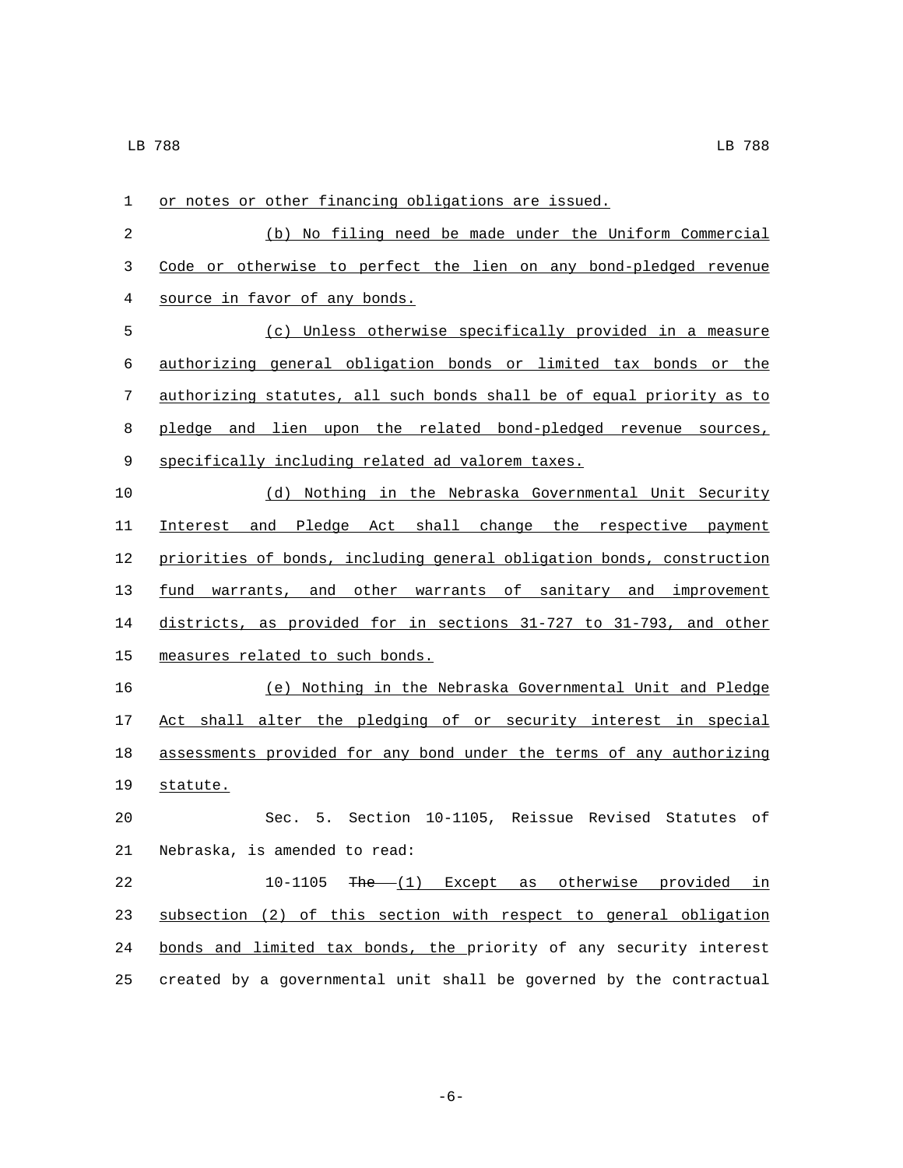| 1     | or notes or other financing obligations are issued.                   |
|-------|-----------------------------------------------------------------------|
| 2     | (b) No filing need be made under the Uniform Commercial               |
| 3     | Code or otherwise to perfect the lien on any bond-pledged revenue     |
| 4     | source in favor of any bonds.                                         |
| 5     | (c) Unless otherwise specifically provided in a measure               |
| 6     | authorizing general obligation bonds or limited tax bonds or the      |
| 7     | authorizing statutes, all such bonds shall be of equal priority as to |
| 8     | pledge and lien upon the related bond-pledged revenue sources,        |
| $\,9$ | specifically including related ad valorem taxes.                      |
| 10    | (d) Nothing in the Nebraska Governmental Unit Security                |
| 11    | Interest and Pledge Act shall change the respective payment           |
| 12    | priorities of bonds, including general obligation bonds, construction |
| 13    | fund warrants, and other warrants of sanitary and improvement         |
| 14    | districts, as provided for in sections 31-727 to 31-793, and other    |
| 15    | measures related to such bonds.                                       |
| 16    | (e) Nothing in the Nebraska Governmental Unit and Pledge              |
| 17    | Act shall alter the pledging of or security interest in special       |
| 18    | assessments provided for any bond under the terms of any authorizing  |
| 19    | statute.                                                              |
| 20    | Sec. 5. Section 10-1105, Reissue Revised Statutes of                  |
| 21    | Nebraska, is amended to read:                                         |
| 22    | 10-1105<br>$The (1)$ Except as otherwise provided in                  |
| 23    | subsection (2) of this section with respect to general obligation     |
| 24    | bonds and limited tax bonds, the priority of any security interest    |
| 25    | created by a governmental unit shall be governed by the contractual   |

-6-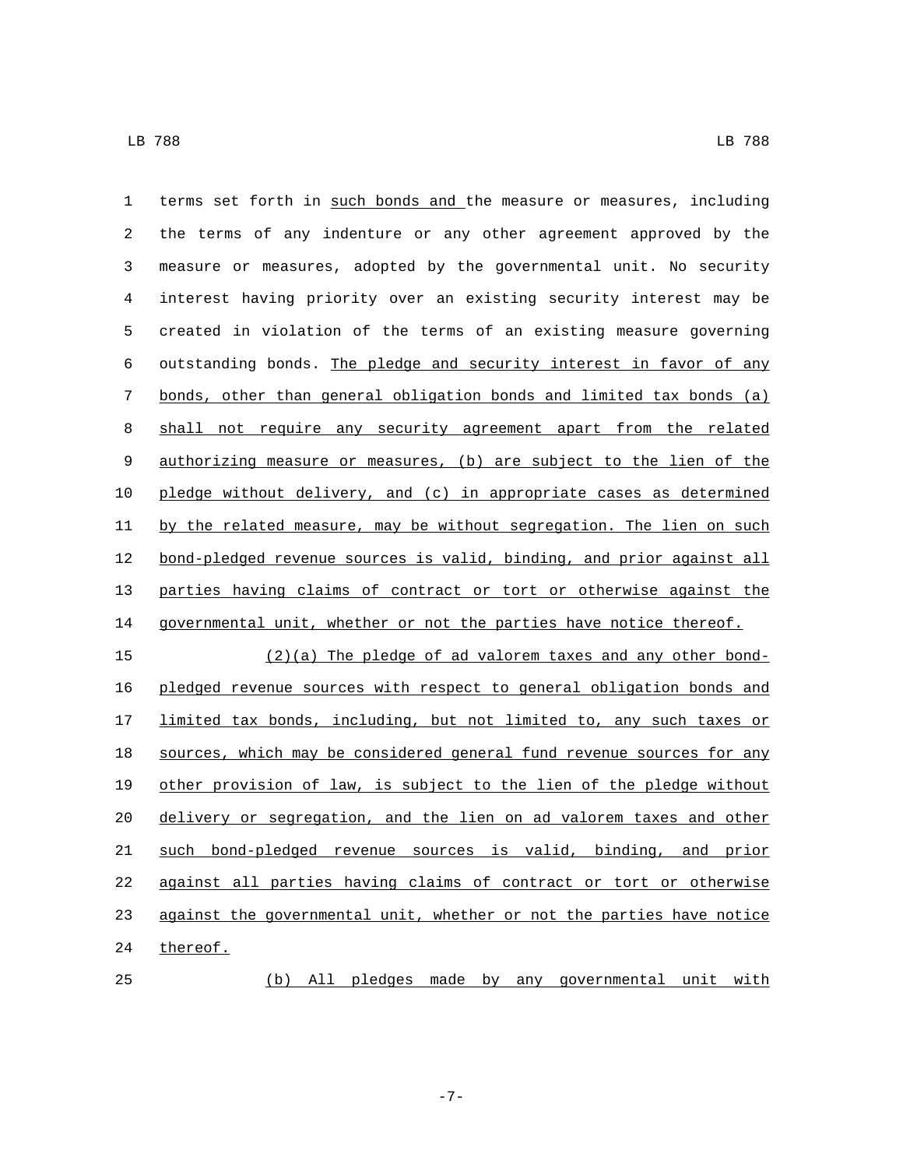terms set forth in such bonds and the measure or measures, including the terms of any indenture or any other agreement approved by the measure or measures, adopted by the governmental unit. No security interest having priority over an existing security interest may be created in violation of the terms of an existing measure governing outstanding bonds. The pledge and security interest in favor of any bonds, other than general obligation bonds and limited tax bonds (a) shall not require any security agreement apart from the related authorizing measure or measures, (b) are subject to the lien of the pledge without delivery, and (c) in appropriate cases as determined by the related measure, may be without segregation. The lien on such bond-pledged revenue sources is valid, binding, and prior against all parties having claims of contract or tort or otherwise against the 14 governmental unit, whether or not the parties have notice thereof. (2)(a) The pledge of ad valorem taxes and any other bond- pledged revenue sources with respect to general obligation bonds and limited tax bonds, including, but not limited to, any such taxes or sources, which may be considered general fund revenue sources for any other provision of law, is subject to the lien of the pledge without

 delivery or segregation, and the lien on ad valorem taxes and other such bond-pledged revenue sources is valid, binding, and prior against all parties having claims of contract or tort or otherwise against the governmental unit, whether or not the parties have notice 24 thereof.

(b) All pledges made by any governmental unit with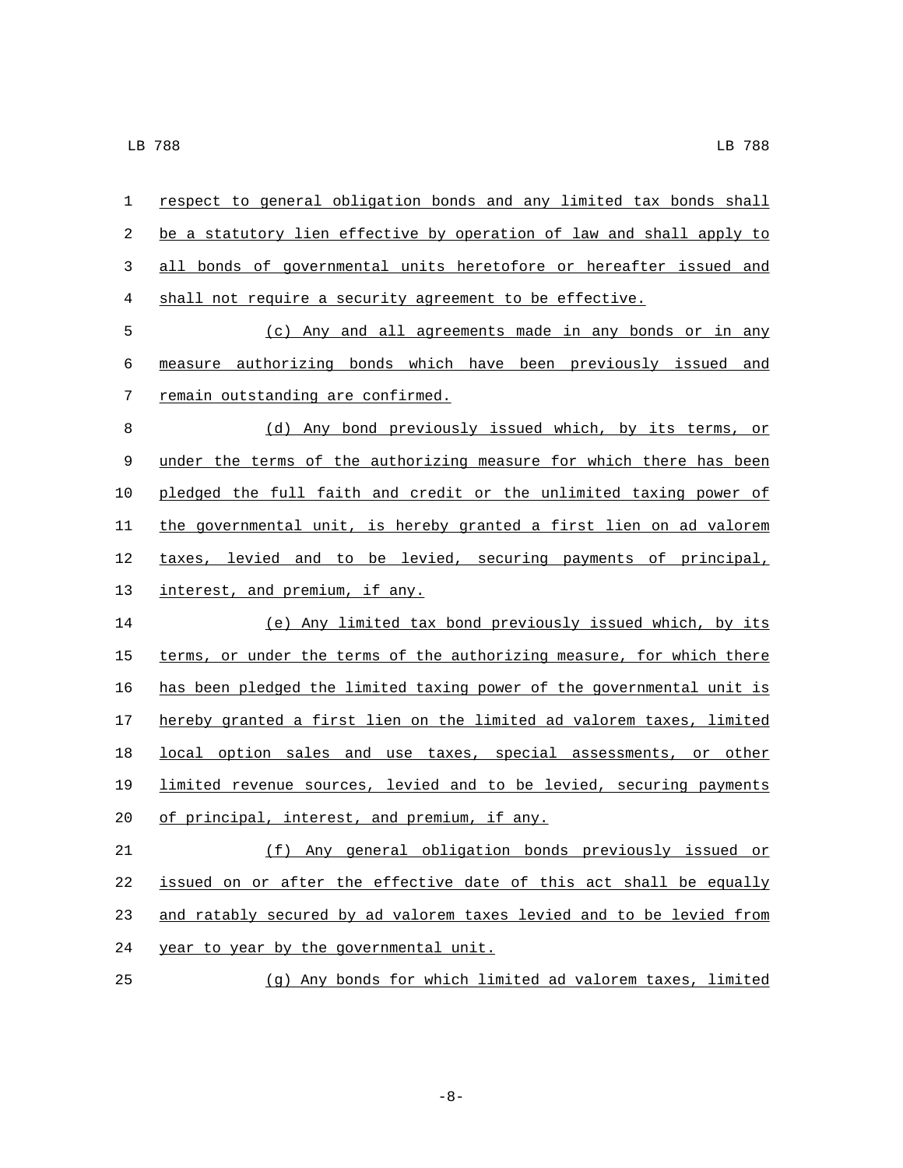| 1  | respect to general obligation bonds and any limited tax bonds shall   |
|----|-----------------------------------------------------------------------|
| 2  | be a statutory lien effective by operation of law and shall apply to  |
| 3  | all bonds of governmental units heretofore or hereafter issued and    |
| 4  | shall not require a security agreement to be effective.               |
| 5  | (c) Any and all agreements made in any bonds or in any                |
| 6  | measure authorizing bonds which have been previously issued and       |
| 7  | remain outstanding are confirmed.                                     |
| 8  | (d) Any bond previously issued which, by its terms, or                |
| 9  | under the terms of the authorizing measure for which there has been   |
| 10 | pledged the full faith and credit or the unlimited taxing power of    |
| 11 | the governmental unit, is hereby granted a first lien on ad valorem   |
| 12 | taxes, levied and to be levied, securing payments of principal,       |
| 13 | interest, and premium, if any.                                        |
| 14 | (e) Any limited tax bond previously issued which, by its              |
| 15 | terms, or under the terms of the authorizing measure, for which there |
| 16 | has been pledged the limited taxing power of the governmental unit is |
| 17 | hereby granted a first lien on the limited ad valorem taxes, limited  |
| 18 | local option sales and use taxes, special assessments, or other       |
| 19 | limited revenue sources, levied and to be levied, securing payments   |
| 20 | of principal, interest, and premium, if any.                          |
| 21 | (f) Any general obligation bonds previously issued or                 |
| 22 | issued on or after the effective date of this act shall be equally    |
| 23 | and ratably secured by ad valorem taxes levied and to be levied from  |
| 24 | year to year by the governmental unit.                                |
| 25 | (g) Any bonds for which limited ad valorem taxes, limited             |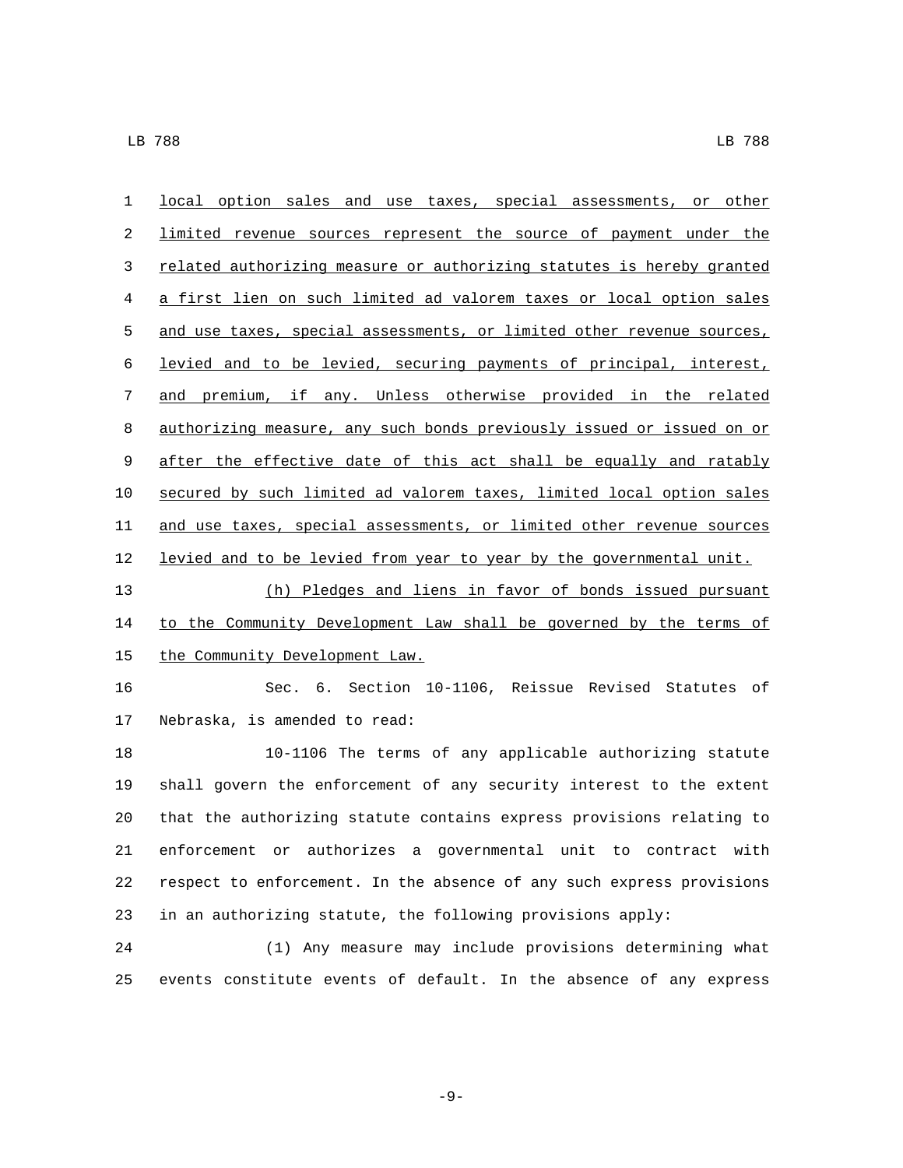| $\mathbf 1$ | local option sales and use taxes, special assessments, or other       |
|-------------|-----------------------------------------------------------------------|
| 2           | limited revenue sources represent the source of payment under the     |
| 3           | related authorizing measure or authorizing statutes is hereby granted |
| 4           | a first lien on such limited ad valorem taxes or local option sales   |
| 5           | and use taxes, special assessments, or limited other revenue sources, |
| 6           | levied and to be levied, securing payments of principal, interest,    |
| 7           | and premium, if any. Unless otherwise provided in the related         |
| 8           | authorizing measure, any such bonds previously issued or issued on or |
| 9           | after the effective date of this act shall be equally and ratably     |
| 10          | secured by such limited ad valorem taxes, limited local option sales  |
| 11          | and use taxes, special assessments, or limited other revenue sources  |
| 12          | levied and to be levied from year to year by the governmental unit.   |
| 13          | (h) Pledges and liens in favor of bonds issued pursuant               |
| 14          | to the Community Development Law shall be governed by the terms of    |
| 15          | the Community Development Law.                                        |
| 16          | Sec. 6. Section 10-1106, Reissue Revised Statutes of                  |
| 17          | Nebraska, is amended to read:                                         |
| 18          | 10-1106 The terms of any applicable authorizing statute               |
| 19          | shall govern the enforcement of any security interest to the extent   |
| 20          | that the authorizing statute contains express provisions relating to  |
| 21          | enforcement or authorizes a governmental unit to contract with        |
| 22          | respect to enforcement. In the absence of any such express provisions |
| 23          | in an authorizing statute, the following provisions apply:            |
| 24          | (1) Any measure may include provisions determining what               |
| 25          | events constitute events of default. In the absence of any express    |

-9-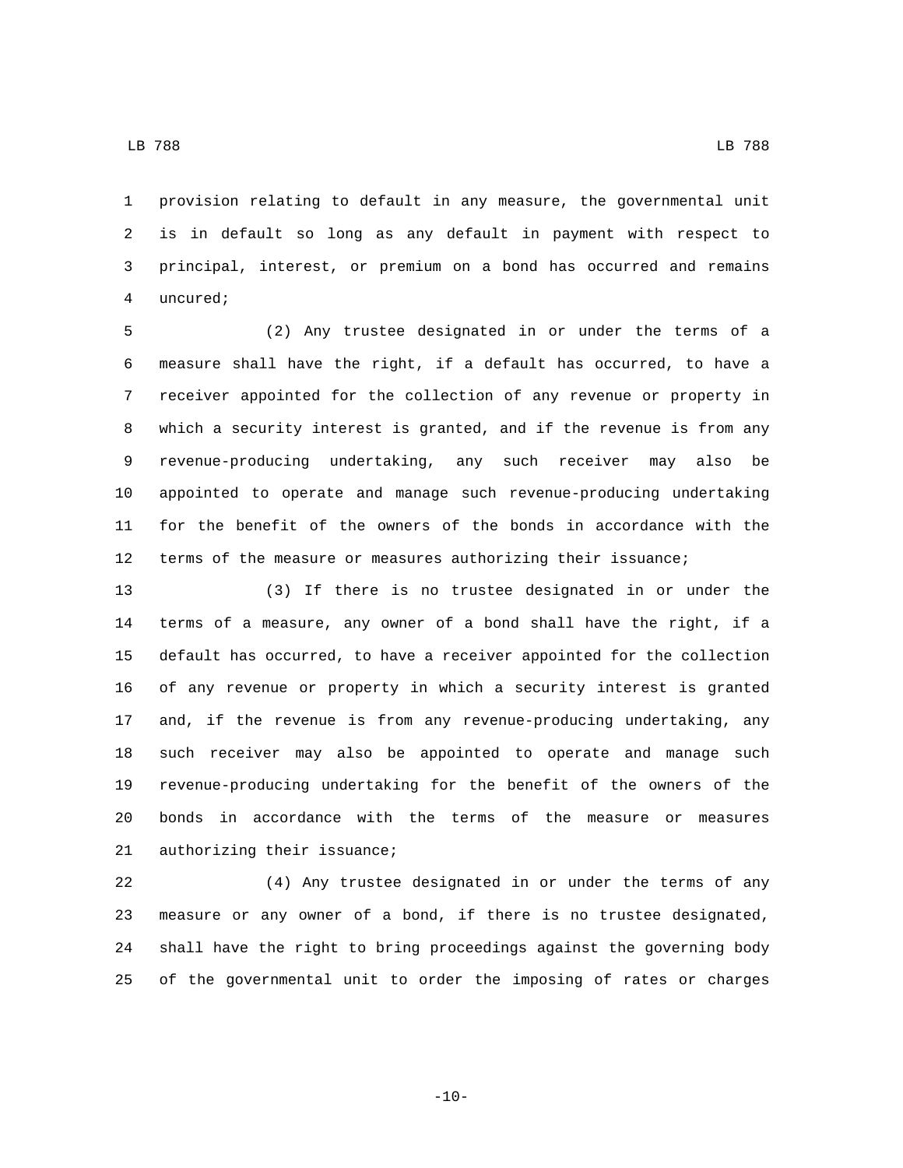LB 788 LB 788

 provision relating to default in any measure, the governmental unit is in default so long as any default in payment with respect to principal, interest, or premium on a bond has occurred and remains 4 uncured;

 (2) Any trustee designated in or under the terms of a measure shall have the right, if a default has occurred, to have a receiver appointed for the collection of any revenue or property in which a security interest is granted, and if the revenue is from any revenue-producing undertaking, any such receiver may also be appointed to operate and manage such revenue-producing undertaking for the benefit of the owners of the bonds in accordance with the terms of the measure or measures authorizing their issuance;

 (3) If there is no trustee designated in or under the terms of a measure, any owner of a bond shall have the right, if a default has occurred, to have a receiver appointed for the collection of any revenue or property in which a security interest is granted and, if the revenue is from any revenue-producing undertaking, any such receiver may also be appointed to operate and manage such revenue-producing undertaking for the benefit of the owners of the bonds in accordance with the terms of the measure or measures 21 authorizing their issuance;

 (4) Any trustee designated in or under the terms of any measure or any owner of a bond, if there is no trustee designated, shall have the right to bring proceedings against the governing body of the governmental unit to order the imposing of rates or charges

-10-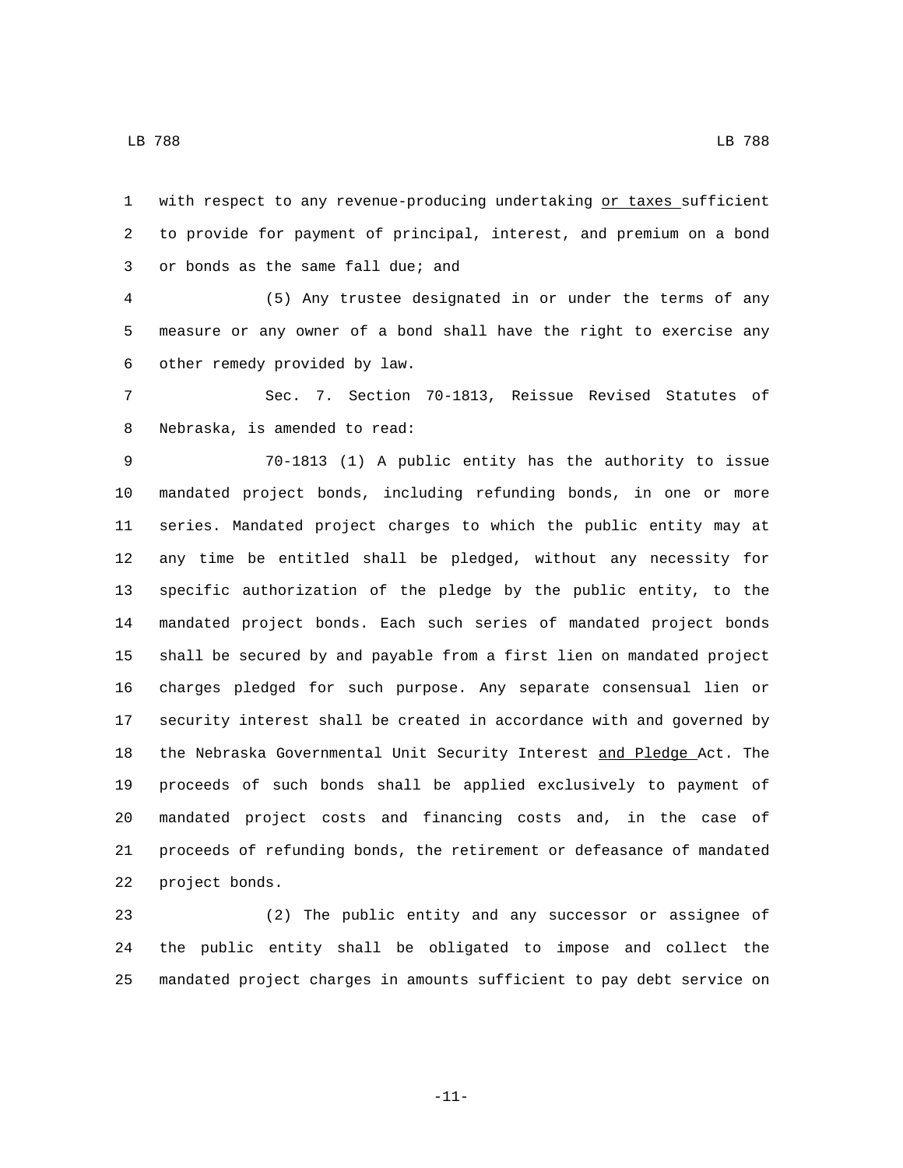with respect to any revenue-producing undertaking or taxes sufficient to provide for payment of principal, interest, and premium on a bond 3 or bonds as the same fall due; and

 (5) Any trustee designated in or under the terms of any measure or any owner of a bond shall have the right to exercise any 6 other remedy provided by law.

 Sec. 7. Section 70-1813, Reissue Revised Statutes of 8 Nebraska, is amended to read:

 70-1813 (1) A public entity has the authority to issue mandated project bonds, including refunding bonds, in one or more series. Mandated project charges to which the public entity may at any time be entitled shall be pledged, without any necessity for specific authorization of the pledge by the public entity, to the mandated project bonds. Each such series of mandated project bonds shall be secured by and payable from a first lien on mandated project charges pledged for such purpose. Any separate consensual lien or security interest shall be created in accordance with and governed by the Nebraska Governmental Unit Security Interest and Pledge Act. The proceeds of such bonds shall be applied exclusively to payment of mandated project costs and financing costs and, in the case of proceeds of refunding bonds, the retirement or defeasance of mandated 22 project bonds.

 (2) The public entity and any successor or assignee of the public entity shall be obligated to impose and collect the mandated project charges in amounts sufficient to pay debt service on

-11-